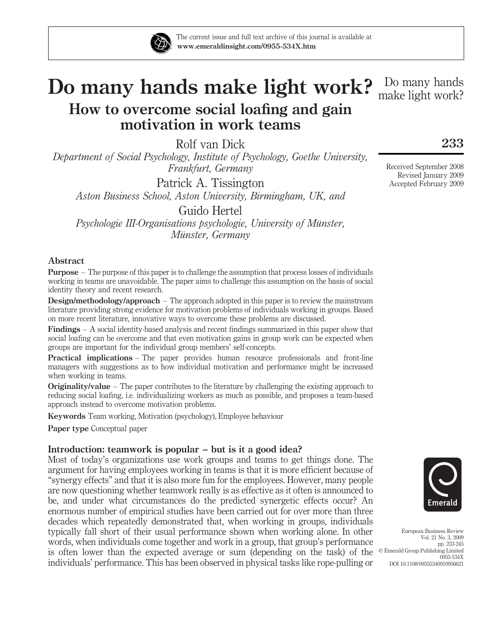

# Do many hands make light work? Do many hands How to overcome social loafing and gain motivation in work teams

Rolf van Dick

Department of Social Psychology, Institute of Psychology, Goethe University, Frankfurt, Germany

Patrick A. Tissington Aston Business School, Aston University, Birmingham, UK, and

Guido Hertel Psychologie III-Organisations psychologie, University of Münster, Münster, Germany

#### Abstract

Purpose – The purpose of this paper is to challenge the assumption that process losses of individuals working in teams are unavoidable. The paper aims to challenge this assumption on the basis of social identity theory and recent research.

Design/methodology/approach – The approach adopted in this paper is to review the mainstream literature providing strong evidence for motivation problems of individuals working in groups. Based on more recent literature, innovative ways to overcome these problems are discussed.

Findings – A social identity-based analysis and recent findings summarized in this paper show that social loafing can be overcome and that even motivation gains in group work can be expected when groups are important for the individual group members' self-concepts.

Practical implications – The paper provides human resource professionals and front-line managers with suggestions as to how individual motivation and performance might be increased when working in teams.

Originality/value – The paper contributes to the literature by challenging the existing approach to reducing social loafing, i.e. individualizing workers as much as possible, and proposes a team-based approach instead to overcome motivation problems.

Keywords Team working, Motivation (psychology), Employee behaviour

Paper type Conceptual paper

### Introduction: teamwork is popular – but is it a good idea?

Most of today's organizations use work groups and teams to get things done. The argument for having employees working in teams is that it is more efficient because of "synergy effects" and that it is also more fun for the employees. However, many people are now questioning whether teamwork really is as effective as it often is announced to be, and under what circumstances do the predicted synergetic effects occur? An enormous number of empirical studies have been carried out for over more than three decades which repeatedly demonstrated that, when working in groups, individuals typically fall short of their usual performance shown when working alone. In other words, when individuals come together and work in a group, that group's performance is often lower than the expected average or sum (depending on the task) of the  $\circ$  Emerald Group Publishing Limited individuals' performance. This has been observed in physical tasks like rope-pulling or

make light work?

# 233

Received September 2008 Revised January 2009 Accepted February 2009



European Business Review Vol. 21 No. 3, 2009 pp. 233-245 0955-534X DOI 10.1108/09555340910956621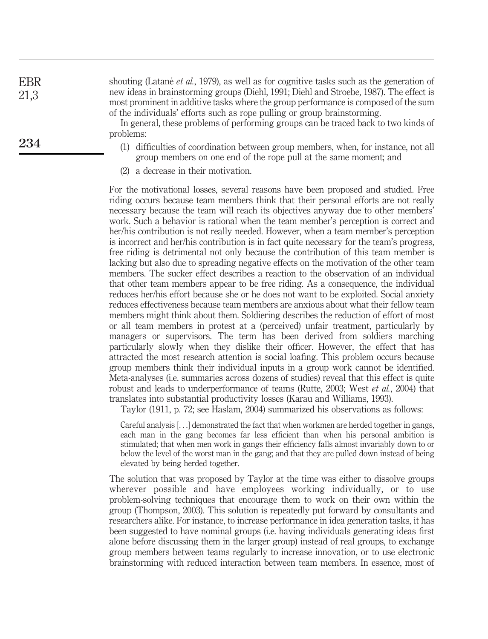shouting (Latane<sup> $et$  al.</sup>, 1979), as well as for cognitive tasks such as the generation of new ideas in brainstorming groups (Diehl, 1991; Diehl and Stroebe, 1987). The effect is most prominent in additive tasks where the group performance is composed of the sum of the individuals' efforts such as rope pulling or group brainstorming.

In general, these problems of performing groups can be traced back to two kinds of problems:

- (1) difficulties of coordination between group members, when, for instance, not all group members on one end of the rope pull at the same moment; and
- (2) a decrease in their motivation.

For the motivational losses, several reasons have been proposed and studied. Free riding occurs because team members think that their personal efforts are not really necessary because the team will reach its objectives anyway due to other members' work. Such a behavior is rational when the team member's perception is correct and her/his contribution is not really needed. However, when a team member's perception is incorrect and her/his contribution is in fact quite necessary for the team's progress, free riding is detrimental not only because the contribution of this team member is lacking but also due to spreading negative effects on the motivation of the other team members. The sucker effect describes a reaction to the observation of an individual that other team members appear to be free riding. As a consequence, the individual reduces her/his effort because she or he does not want to be exploited. Social anxiety reduces effectiveness because team members are anxious about what their fellow team members might think about them. Soldiering describes the reduction of effort of most or all team members in protest at a (perceived) unfair treatment, particularly by managers or supervisors. The term has been derived from soldiers marching particularly slowly when they dislike their officer. However, the effect that has attracted the most research attention is social loafing. This problem occurs because group members think their individual inputs in a group work cannot be identified. Meta-analyses (i.e. summaries across dozens of studies) reveal that this effect is quite robust and leads to underperformance of teams (Rutte, 2003; West et al., 2004) that translates into substantial productivity losses (Karau and Williams, 1993).

Taylor (1911, p. 72; see Haslam, 2004) summarized his observations as follows:

Careful analysis [...] demonstrated the fact that when workmen are herded together in gangs, each man in the gang becomes far less efficient than when his personal ambition is stimulated; that when men work in gangs their efficiency falls almost invariably down to or below the level of the worst man in the gang; and that they are pulled down instead of being elevated by being herded together.

The solution that was proposed by Taylor at the time was either to dissolve groups wherever possible and have employees working individually, or to use problem-solving techniques that encourage them to work on their own within the group (Thompson, 2003). This solution is repeatedly put forward by consultants and researchers alike. For instance, to increase performance in idea generation tasks, it has been suggested to have nominal groups (i.e. having individuals generating ideas first alone before discussing them in the larger group) instead of real groups, to exchange group members between teams regularly to increase innovation, or to use electronic brainstorming with reduced interaction between team members. In essence, most of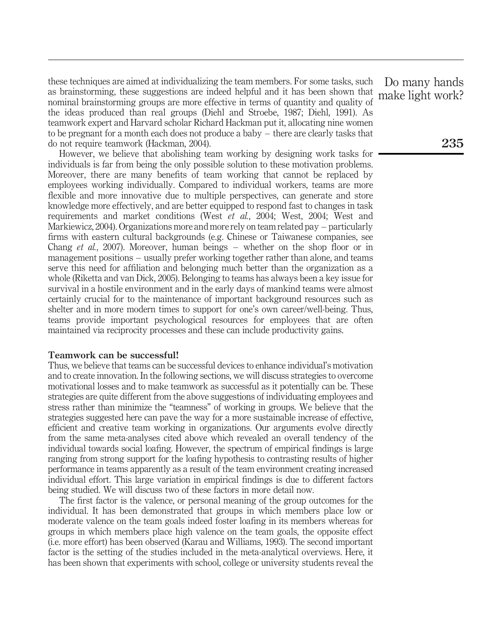these techniques are aimed at individualizing the team members. For some tasks, such as brainstorming, these suggestions are indeed helpful and it has been shown that nominal brainstorming groups are more effective in terms of quantity and quality of the ideas produced than real groups (Diehl and Stroebe, 1987; Diehl, 1991). As teamwork expert and Harvard scholar Richard Hackman put it, allocating nine women to be pregnant for a month each does not produce a baby – there are clearly tasks that do not require teamwork (Hackman, 2004).

However, we believe that abolishing team working by designing work tasks for individuals is far from being the only possible solution to these motivation problems. Moreover, there are many benefits of team working that cannot be replaced by employees working individually. Compared to individual workers, teams are more flexible and more innovative due to multiple perspectives, can generate and store knowledge more effectively, and are better equipped to respond fast to changes in task requirements and market conditions (West et al., 2004; West, 2004; West and Markiewicz, 2004). Organizations more and more rely on team related pay – particularly firms with eastern cultural backgrounds (e.g. Chinese or Taiwanese companies, see Chang et al., 2007). Moreover, human beings – whether on the shop floor or in management positions – usually prefer working together rather than alone, and teams serve this need for affiliation and belonging much better than the organization as a whole (Riketta and van Dick, 2005). Belonging to teams has always been a key issue for survival in a hostile environment and in the early days of mankind teams were almost certainly crucial for to the maintenance of important background resources such as shelter and in more modern times to support for one's own career/well-being. Thus, teams provide important psychological resources for employees that are often maintained via reciprocity processes and these can include productivity gains.

#### Teamwork can be successful!

Thus, we believe that teams can be successful devices to enhance individual's motivation and to create innovation. In the following sections, we will discuss strategies to overcome motivational losses and to make teamwork as successful as it potentially can be. These strategies are quite different from the above suggestions of individuating employees and stress rather than minimize the "teamness" of working in groups. We believe that the strategies suggested here can pave the way for a more sustainable increase of effective, efficient and creative team working in organizations. Our arguments evolve directly from the same meta-analyses cited above which revealed an overall tendency of the individual towards social loafing. However, the spectrum of empirical findings is large ranging from strong support for the loafing hypothesis to contrasting results of higher performance in teams apparently as a result of the team environment creating increased individual effort. This large variation in empirical findings is due to different factors being studied. We will discuss two of these factors in more detail now.

The first factor is the valence, or personal meaning of the group outcomes for the individual. It has been demonstrated that groups in which members place low or moderate valence on the team goals indeed foster loafing in its members whereas for groups in which members place high valence on the team goals, the opposite effect (i.e. more effort) has been observed (Karau and Williams, 1993). The second important factor is the setting of the studies included in the meta-analytical overviews. Here, it has been shown that experiments with school, college or university students reveal the

Do many hands make light work?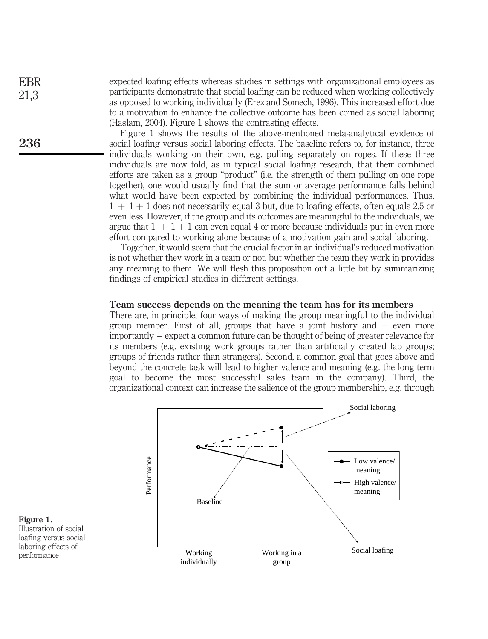expected loafing effects whereas studies in settings with organizational employees as participants demonstrate that social loafing can be reduced when working collectively as opposed to working individually (Erez and Somech, 1996). This increased effort due to a motivation to enhance the collective outcome has been coined as social laboring (Haslam, 2004). Figure 1 shows the contrasting effects.

Figure 1 shows the results of the above-mentioned meta-analytical evidence of social loafing versus social laboring effects. The baseline refers to, for instance, three individuals working on their own, e.g. pulling separately on ropes. If these three individuals are now told, as in typical social loafing research, that their combined efforts are taken as a group "product" (i.e. the strength of them pulling on one rope together), one would usually find that the sum or average performance falls behind what would have been expected by combining the individual performances. Thus,  $1 + 1 + 1$  does not necessarily equal 3 but, due to loafing effects, often equals 2.5 or even less. However, if the group and its outcomes are meaningful to the individuals, we argue that  $1 + 1 + 1$  can even equal 4 or more because individuals put in even more effort compared to working alone because of a motivation gain and social laboring.

Together, it would seem that the crucial factor in an individual's reduced motivation is not whether they work in a team or not, but whether the team they work in provides any meaning to them. We will flesh this proposition out a little bit by summarizing findings of empirical studies in different settings.

#### Team success depends on the meaning the team has for its members

There are, in principle, four ways of making the group meaningful to the individual group member. First of all, groups that have a joint history and – even more importantly – expect a common future can be thought of being of greater relevance for its members (e.g. existing work groups rather than artificially created lab groups; groups of friends rather than strangers). Second, a common goal that goes above and beyond the concrete task will lead to higher valence and meaning (e.g. the long-term goal to become the most successful sales team in the company). Third, the organizational context can increase the salience of the group membership, e.g. through



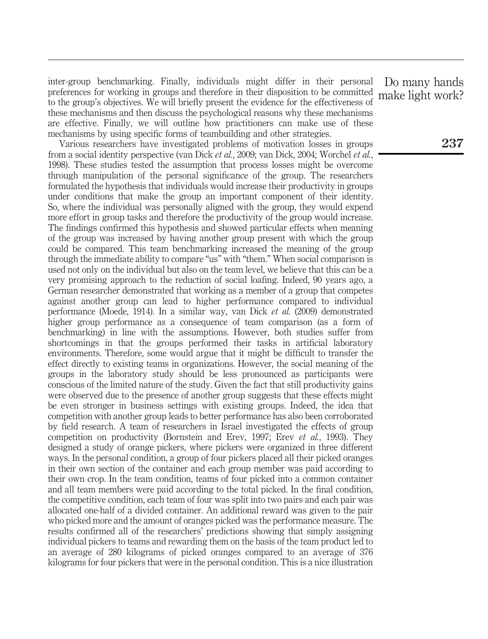inter-group benchmarking. Finally, individuals might differ in their personal preferences for working in groups and therefore in their disposition to be committed to the group's objectives. We will briefly present the evidence for the effectiveness of these mechanisms and then discuss the psychological reasons why these mechanisms are effective. Finally, we will outline how practitioners can make use of these mechanisms by using specific forms of teambuilding and other strategies.

Various researchers have investigated problems of motivation losses in groups from a social identity perspective (van Dick et al., 2009; van Dick, 2004; Worchel et al., 1998). These studies tested the assumption that process losses might be overcome through manipulation of the personal significance of the group. The researchers formulated the hypothesis that individuals would increase their productivity in groups under conditions that make the group an important component of their identity. So, where the individual was personally aligned with the group, they would expend more effort in group tasks and therefore the productivity of the group would increase. The findings confirmed this hypothesis and showed particular effects when meaning of the group was increased by having another group present with which the group could be compared. This team benchmarking increased the meaning of the group through the immediate ability to compare "us" with "them." When social comparison is used not only on the individual but also on the team level, we believe that this can be a very promising approach to the reduction of social loafing. Indeed, 90 years ago, a German researcher demonstrated that working as a member of a group that competes against another group can lead to higher performance compared to individual performance (Moede, 1914). In a similar way, van Dick et al. (2009) demonstrated higher group performance as a consequence of team comparison (as a form of benchmarking) in line with the assumptions. However, both studies suffer from shortcomings in that the groups performed their tasks in artificial laboratory environments. Therefore, some would argue that it might be difficult to transfer the effect directly to existing teams in organizations. However, the social meaning of the groups in the laboratory study should be less pronounced as participants were conscious of the limited nature of the study. Given the fact that still productivity gains were observed due to the presence of another group suggests that these effects might be even stronger in business settings with existing groups. Indeed, the idea that competition with another group leads to better performance has also been corroborated by field research. A team of researchers in Israel investigated the effects of group competition on productivity (Bornstein and Erev, 1997; Erev et al., 1993). They designed a study of orange pickers, where pickers were organized in three different ways. In the personal condition, a group of four pickers placed all their picked oranges in their own section of the container and each group member was paid according to their own crop. In the team condition, teams of four picked into a common container and all team members were paid according to the total picked. In the final condition, the competitive condition, each team of four was split into two pairs and each pair was allocated one-half of a divided container. An additional reward was given to the pair who picked more and the amount of oranges picked was the performance measure. The results confirmed all of the researchers' predictions showing that simply assigning individual pickers to teams and rewarding them on the basis of the team product led to an average of 280 kilograms of picked oranges compared to an average of 376 kilograms for four pickers that were in the personal condition. This is a nice illustration

Do many hands make light work?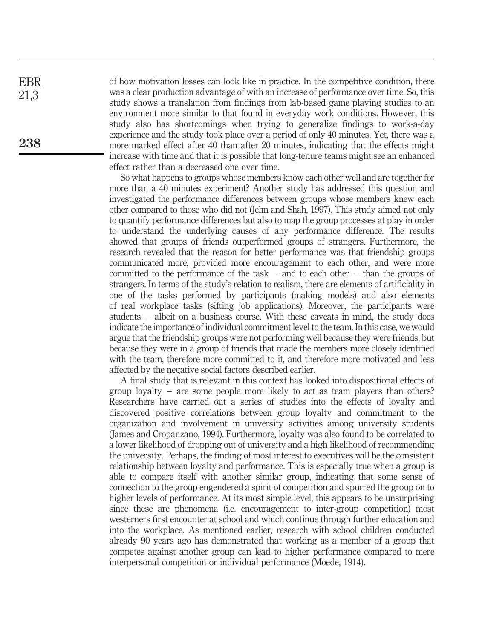of how motivation losses can look like in practice. In the competitive condition, there was a clear production advantage of with an increase of performance over time. So, this study shows a translation from findings from lab-based game playing studies to an environment more similar to that found in everyday work conditions. However, this study also has shortcomings when trying to generalize findings to work-a-day experience and the study took place over a period of only 40 minutes. Yet, there was a more marked effect after 40 than after 20 minutes, indicating that the effects might increase with time and that it is possible that long-tenure teams might see an enhanced effect rather than a decreased one over time.

So what happens to groups whose members know each other well and are together for more than a 40 minutes experiment? Another study has addressed this question and investigated the performance differences between groups whose members knew each other compared to those who did not (Jehn and Shah, 1997). This study aimed not only to quantify performance differences but also to map the group processes at play in order to understand the underlying causes of any performance difference. The results showed that groups of friends outperformed groups of strangers. Furthermore, the research revealed that the reason for better performance was that friendship groups communicated more, provided more encouragement to each other, and were more committed to the performance of the task – and to each other – than the groups of strangers. In terms of the study's relation to realism, there are elements of artificiality in one of the tasks performed by participants (making models) and also elements of real workplace tasks (sifting job applications). Moreover, the participants were students – albeit on a business course. With these caveats in mind, the study does indicate the importance of individual commitment level to the team. In this case, we would argue that the friendship groups were not performing well because they were friends, but because they were in a group of friends that made the members more closely identified with the team, therefore more committed to it, and therefore more motivated and less affected by the negative social factors described earlier.

A final study that is relevant in this context has looked into dispositional effects of group loyalty – are some people more likely to act as team players than others? Researchers have carried out a series of studies into the effects of loyalty and discovered positive correlations between group loyalty and commitment to the organization and involvement in university activities among university students (James and Cropanzano, 1994). Furthermore, loyalty was also found to be correlated to a lower likelihood of dropping out of university and a high likelihood of recommending the university. Perhaps, the finding of most interest to executives will be the consistent relationship between loyalty and performance. This is especially true when a group is able to compare itself with another similar group, indicating that some sense of connection to the group engendered a spirit of competition and spurred the group on to higher levels of performance. At its most simple level, this appears to be unsurprising since these are phenomena (i.e. encouragement to inter-group competition) most westerners first encounter at school and which continue through further education and into the workplace. As mentioned earlier, research with school children conducted already 90 years ago has demonstrated that working as a member of a group that competes against another group can lead to higher performance compared to mere interpersonal competition or individual performance (Moede, 1914).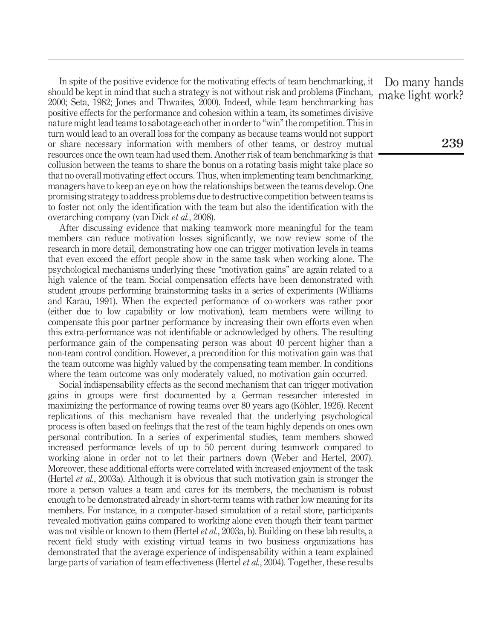In spite of the positive evidence for the motivating effects of team benchmarking, it should be kept in mind that such a strategy is not without risk and problems (Fincham, 2000; Seta, 1982; Jones and Thwaites, 2000). Indeed, while team benchmarking has positive effects for the performance and cohesion within a team, its sometimes divisive nature might lead teams to sabotage each other in order to "win" the competition. This in turn would lead to an overall loss for the company as because teams would not support or share necessary information with members of other teams, or destroy mutual resources once the own team had used them. Another risk of team benchmarking is that collusion between the teams to share the bonus on a rotating basis might take place so that no overall motivating effect occurs. Thus, when implementing team benchmarking, managers have to keep an eye on how the relationships between the teams develop. One promising strategy to address problems due to destructive competition between teams is to foster not only the identification with the team but also the identification with the overarching company (van Dick et al., 2008).

After discussing evidence that making teamwork more meaningful for the team members can reduce motivation losses significantly, we now review some of the research in more detail, demonstrating how one can trigger motivation levels in teams that even exceed the effort people show in the same task when working alone. The psychological mechanisms underlying these "motivation gains" are again related to a high valence of the team. Social compensation effects have been demonstrated with student groups performing brainstorming tasks in a series of experiments (Williams and Karau, 1991). When the expected performance of co-workers was rather poor (either due to low capability or low motivation), team members were willing to compensate this poor partner performance by increasing their own efforts even when this extra-performance was not identifiable or acknowledged by others. The resulting performance gain of the compensating person was about 40 percent higher than a non-team control condition. However, a precondition for this motivation gain was that the team outcome was highly valued by the compensating team member. In conditions where the team outcome was only moderately valued, no motivation gain occurred.

Social indispensability effects as the second mechanism that can trigger motivation gains in groups were first documented by a German researcher interested in maximizing the performance of rowing teams over 80 years ago (Köhler, 1926). Recent replications of this mechanism have revealed that the underlying psychological process is often based on feelings that the rest of the team highly depends on ones own personal contribution. In a series of experimental studies, team members showed increased performance levels of up to 50 percent during teamwork compared to working alone in order not to let their partners down (Weber and Hertel, 2007). Moreover, these additional efforts were correlated with increased enjoyment of the task (Hertel et al., 2003a). Although it is obvious that such motivation gain is stronger the more a person values a team and cares for its members, the mechanism is robust enough to be demonstrated already in short-term teams with rather low meaning for its members. For instance, in a computer-based simulation of a retail store, participants revealed motivation gains compared to working alone even though their team partner was not visible or known to them (Hertel *et al.*, 2003a, b). Building on these lab results, a recent field study with existing virtual teams in two business organizations has demonstrated that the average experience of indispensability within a team explained large parts of variation of team effectiveness (Hertel *et al.*, 2004). Together, these results

Do many hands make light work?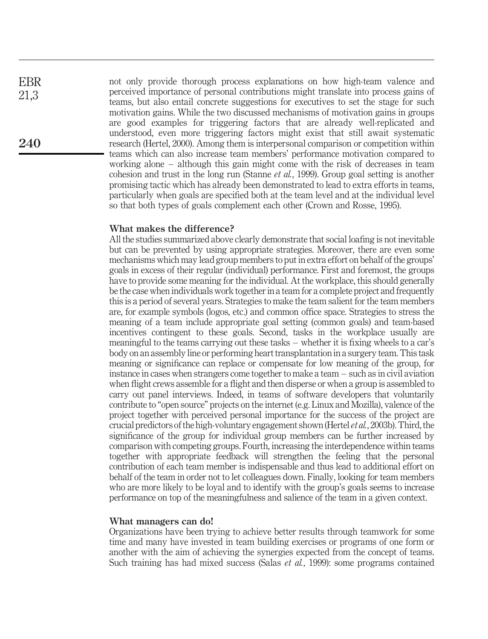not only provide thorough process explanations on how high-team valence and perceived importance of personal contributions might translate into process gains of teams, but also entail concrete suggestions for executives to set the stage for such motivation gains. While the two discussed mechanisms of motivation gains in groups are good examples for triggering factors that are already well-replicated and understood, even more triggering factors might exist that still await systematic research (Hertel, 2000). Among them is interpersonal comparison or competition within teams which can also increase team members' performance motivation compared to working alone – although this gain might come with the risk of decreases in team cohesion and trust in the long run (Stanne et al., 1999). Group goal setting is another promising tactic which has already been demonstrated to lead to extra efforts in teams, particularly when goals are specified both at the team level and at the individual level so that both types of goals complement each other (Crown and Rosse, 1995).

## What makes the difference?

All the studies summarized above clearly demonstrate that social loafing is not inevitable but can be prevented by using appropriate strategies. Moreover, there are even some mechanisms which may lead group members to put in extra effort on behalf of the groups' goals in excess of their regular (individual) performance. First and foremost, the groups have to provide some meaning for the individual. At the workplace, this should generally be the case when individuals work together in a team for a complete project and frequently this is a period of several years. Strategies to make the team salient for the team members are, for example symbols (logos, etc.) and common office space. Strategies to stress the meaning of a team include appropriate goal setting (common goals) and team-based incentives contingent to these goals. Second, tasks in the workplace usually are meaningful to the teams carrying out these tasks – whether it is fixing wheels to a car's body on an assembly line or performing heart transplantation in a surgery team. This task meaning or significance can replace or compensate for low meaning of the group, for instance in cases when strangers come together to make a team – such as in civil aviation when flight crews assemble for a flight and then disperse or when a group is assembled to carry out panel interviews. Indeed, in teams of software developers that voluntarily contribute to "open source" projects on the internet (e.g. Linux and Mozilla), valence of the project together with perceived personal importance for the success of the project are crucial predictors of the high-voluntary engagement shown (Hertel etal., 2003b). Third, the significance of the group for individual group members can be further increased by comparison with competing groups. Fourth, increasing the interdependence within teams together with appropriate feedback will strengthen the feeling that the personal contribution of each team member is indispensable and thus lead to additional effort on behalf of the team in order not to let colleagues down. Finally, looking for team members who are more likely to be loyal and to identify with the group's goals seems to increase performance on top of the meaningfulness and salience of the team in a given context.

### What managers can do!

Organizations have been trying to achieve better results through teamwork for some time and many have invested in team building exercises or programs of one form or another with the aim of achieving the synergies expected from the concept of teams. Such training has had mixed success (Salas et al., 1999): some programs contained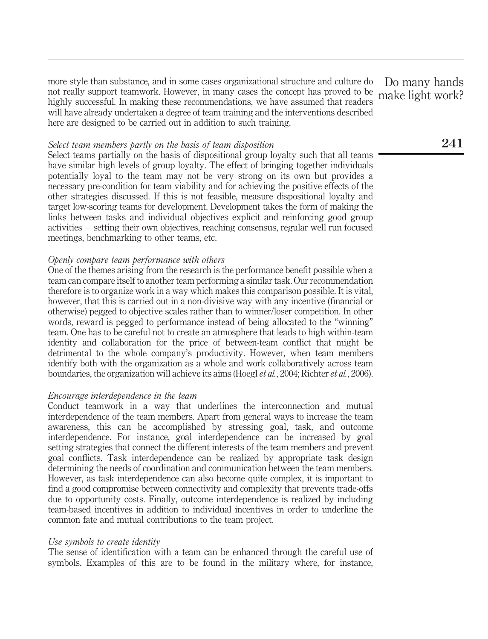more style than substance, and in some cases organizational structure and culture do not really support teamwork. However, in many cases the concept has proved to be highly successful. In making these recommendations, we have assumed that readers will have already undertaken a degree of team training and the interventions described here are designed to be carried out in addition to such training.

#### Select team members partly on the basis of team disposition

Select teams partially on the basis of dispositional group loyalty such that all teams have similar high levels of group loyalty. The effect of bringing together individuals potentially loyal to the team may not be very strong on its own but provides a necessary pre-condition for team viability and for achieving the positive effects of the other strategies discussed. If this is not feasible, measure dispositional loyalty and target low-scoring teams for development. Development takes the form of making the links between tasks and individual objectives explicit and reinforcing good group activities – setting their own objectives, reaching consensus, regular well run focused meetings, benchmarking to other teams, etc.

#### Openly compare team performance with others

One of the themes arising from the research is the performance benefit possible when a team can compare itself to another team performing a similar task. Our recommendation therefore is to organize work in a way which makes this comparison possible. It is vital, however, that this is carried out in a non-divisive way with any incentive (financial or otherwise) pegged to objective scales rather than to winner/loser competition. In other words, reward is pegged to performance instead of being allocated to the "winning" team. One has to be careful not to create an atmosphere that leads to high within-team identity and collaboration for the price of between-team conflict that might be detrimental to the whole company's productivity. However, when team members identify both with the organization as a whole and work collaboratively across team boundaries, the organization will achieve its aims (Hoegl et al., 2004; Richter et al., 2006).

#### Encourage interdependence in the team

Conduct teamwork in a way that underlines the interconnection and mutual interdependence of the team members. Apart from general ways to increase the team awareness, this can be accomplished by stressing goal, task, and outcome interdependence. For instance, goal interdependence can be increased by goal setting strategies that connect the different interests of the team members and prevent goal conflicts. Task interdependence can be realized by appropriate task design determining the needs of coordination and communication between the team members. However, as task interdependence can also become quite complex, it is important to find a good compromise between connectivity and complexity that prevents trade-offs due to opportunity costs. Finally, outcome interdependence is realized by including team-based incentives in addition to individual incentives in order to underline the common fate and mutual contributions to the team project.

#### Use symbols to create identity

The sense of identification with a team can be enhanced through the careful use of symbols. Examples of this are to be found in the military where, for instance,

Do many hands make light work?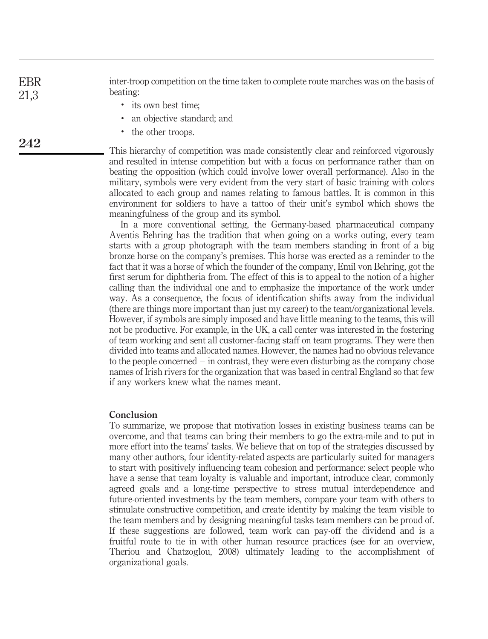inter-troop competition on the time taken to complete route marches was on the basis of beating: EBR 21,3

- . its own best time;
- . an objective standard; and
- the other troops.

This hierarchy of competition was made consistently clear and reinforced vigorously and resulted in intense competition but with a focus on performance rather than on beating the opposition (which could involve lower overall performance). Also in the military, symbols were very evident from the very start of basic training with colors allocated to each group and names relating to famous battles. It is common in this environment for soldiers to have a tattoo of their unit's symbol which shows the meaningfulness of the group and its symbol.

In a more conventional setting, the Germany-based pharmaceutical company Aventis Behring has the tradition that when going on a works outing, every team starts with a group photograph with the team members standing in front of a big bronze horse on the company's premises. This horse was erected as a reminder to the fact that it was a horse of which the founder of the company, Emil von Behring, got the first serum for diphtheria from. The effect of this is to appeal to the notion of a higher calling than the individual one and to emphasize the importance of the work under way. As a consequence, the focus of identification shifts away from the individual (there are things more important than just my career) to the team/organizational levels. However, if symbols are simply imposed and have little meaning to the teams, this will not be productive. For example, in the UK, a call center was interested in the fostering of team working and sent all customer-facing staff on team programs. They were then divided into teams and allocated names. However, the names had no obvious relevance to the people concerned – in contrast, they were even disturbing as the company chose names of Irish rivers for the organization that was based in central England so that few if any workers knew what the names meant.

#### **Conclusion**

To summarize, we propose that motivation losses in existing business teams can be overcome, and that teams can bring their members to go the extra-mile and to put in more effort into the teams' tasks. We believe that on top of the strategies discussed by many other authors, four identity-related aspects are particularly suited for managers to start with positively influencing team cohesion and performance: select people who have a sense that team loyalty is valuable and important, introduce clear, commonly agreed goals and a long-time perspective to stress mutual interdependence and future-oriented investments by the team members, compare your team with others to stimulate constructive competition, and create identity by making the team visible to the team members and by designing meaningful tasks team members can be proud of. If these suggestions are followed, team work can pay-off the dividend and is a fruitful route to tie in with other human resource practices (see for an overview, Theriou and Chatzoglou, 2008) ultimately leading to the accomplishment of organizational goals.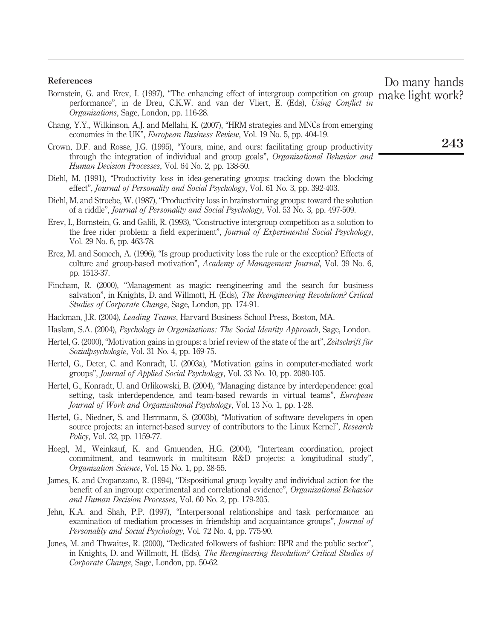#### References

Bornstein, G. and Erev, I. (1997), "The enhancing effect of intergroup competition on group performance", in de Dreu, C.K.W. and van der Vliert, E. (Eds), Using Conflict in Organizations, Sage, London, pp. 116-28.

- Chang, Y.Y., Wilkinson, A.J. and Mellahi, K. (2007), "HRM strategies and MNCs from emerging economies in the UK", European Business Review, Vol. 19 No. 5, pp. 404-19.
- Crown, D.F. and Rosse, J.G. (1995), "Yours, mine, and ours: facilitating group productivity through the integration of individual and group goals", Organizational Behavior and Human Decision Processes, Vol. 64 No. 2, pp. 138-50.
- Diehl, M. (1991), "Productivity loss in idea-generating groups: tracking down the blocking effect", Journal of Personality and Social Psychology, Vol. 61 No. 3, pp. 392-403.
- Diehl, M. and Stroebe, W. (1987), "Productivity loss in brainstorming groups: toward the solution of a riddle", Journal of Personality and Social Psychology, Vol. 53 No. 3, pp. 497-509.
- Erev, I., Bornstein, G. and Galili, R. (1993), "Constructive intergroup competition as a solution to the free rider problem: a field experiment", Journal of Experimental Social Psychology, Vol. 29 No. 6, pp. 463-78.
- Erez, M. and Somech, A. (1996), "Is group productivity loss the rule or the exception? Effects of culture and group-based motivation", Academy of Management Journal, Vol. 39 No. 6, pp. 1513-37.
- Fincham, R. (2000), "Management as magic: reengineering and the search for business salvation", in Knights, D. and Willmott, H. (Eds), The Reengineering Revolution? Critical Studies of Corporate Change, Sage, London, pp. 174-91.
- Hackman, J.R. (2004), Leading Teams, Harvard Business School Press, Boston, MA.
- Haslam, S.A. (2004), *Psychology in Organizations: The Social Identity Approach*, Sage, London.
- Hertel, G. (2000), "Motivation gains in groups: a brief review of the state of the art", Zeitschrift für Sozialpsychologie, Vol. 31 No. 4, pp. 169-75.
- Hertel, G., Deter, C. and Konradt, U. (2003a), "Motivation gains in computer-mediated work groups", Journal of Applied Social Psychology, Vol. 33 No. 10, pp. 2080-105.
- Hertel, G., Konradt, U. and Orlikowski, B. (2004), "Managing distance by interdependence: goal setting, task interdependence, and team-based rewards in virtual teams", *European* Journal of Work and Organizational Psychology, Vol. 13 No. 1, pp. 1-28.
- Hertel, G., Niedner, S. and Herrmann, S. (2003b), "Motivation of software developers in open source projects: an internet-based survey of contributors to the Linux Kernel", Research Policy, Vol. 32, pp. 1159-77.
- Hoegl, M., Weinkauf, K. and Gmuenden, H.G. (2004), "Interteam coordination, project commitment, and teamwork in multiteam R&D projects: a longitudinal study", Organization Science, Vol. 15 No. 1, pp. 38-55.
- James, K. and Cropanzano, R. (1994), "Dispositional group loyalty and individual action for the benefit of an ingroup: experimental and correlational evidence", Organizational Behavior and Human Decision Processes, Vol. 60 No. 2, pp. 179-205.
- Jehn, K.A. and Shah, P.P. (1997), "Interpersonal relationships and task performance: an examination of mediation processes in friendship and acquaintance groups", Journal of Personality and Social Psychology, Vol. 72 No. 4, pp. 775-90.
- Jones, M. and Thwaites, R. (2000), "Dedicated followers of fashion: BPR and the public sector", in Knights, D. and Willmott, H. (Eds), The Reengineering Revolution? Critical Studies of Corporate Change, Sage, London, pp. 50-62.

243

Do many hands make light work?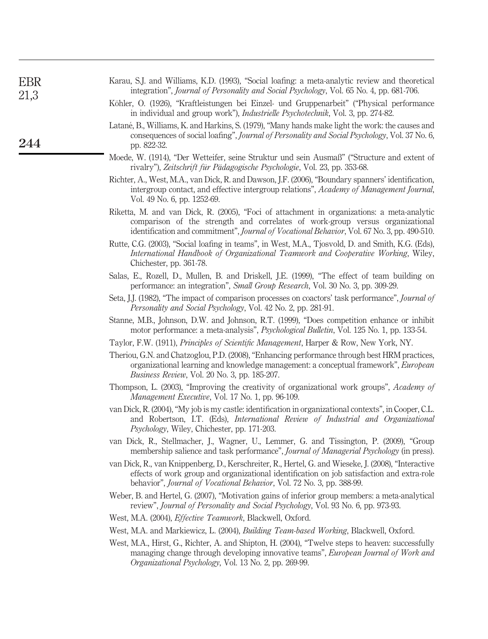| <b>EBR</b><br>21,3 | Karau, S.J. and Williams, K.D. (1993), "Social loafing: a meta-analytic review and theoretical<br>integration", Journal of Personality and Social Psychology, Vol. 65 No. 4, pp. 681-706.                                                                                           |
|--------------------|-------------------------------------------------------------------------------------------------------------------------------------------------------------------------------------------------------------------------------------------------------------------------------------|
|                    | Köhler, O. (1926), "Kraftleistungen bei Einzel- und Gruppenarbeit" ("Physical performance<br>in individual and group work"), Industrielle Psychotechnik, Vol. 3, pp. 274-82.                                                                                                        |
| 244                | Latané, B., Williams, K. and Harkins, S. (1979), "Many hands make light the work: the causes and<br>consequences of social loafing", Journal of Personality and Social Psychology, Vol. 37 No. 6,<br>pp. 822-32.                                                                    |
|                    | Moede, W. (1914), "Der Wetteifer, seine Struktur und sein Ausmaß" ("Structure and extent of<br>rivalry"), Zeitschrift für Pädagogische Psychologie, Vol. 23, pp. 353-68.                                                                                                            |
|                    | Richter, A., West, M.A., van Dick, R. and Dawson, J.F. (2006), "Boundary spanners' identification,<br>intergroup contact, and effective intergroup relations", Academy of Management Journal,<br>Vol. 49 No. 6, pp. 1252-69.                                                        |
|                    | Riketta, M. and van Dick, R. (2005), "Foci of attachment in organizations: a meta-analytic<br>comparison of the strength and correlates of work-group versus organizational<br>identification and commitment", Journal of Vocational Behavior, Vol. 67 No. 3, pp. 490-510.          |
|                    | Rutte, C.G. (2003), "Social loafing in teams", in West, M.A., Tjosvold, D. and Smith, K.G. (Eds),<br>International Handbook of Organizational Teamwork and Cooperative Working, Wiley,<br>Chichester, pp. 361-78.                                                                   |
|                    | Salas, E., Rozell, D., Mullen, B. and Driskell, J.E. (1999), "The effect of team building on<br>performance: an integration", Small Group Research, Vol. 30 No. 3, pp. 309-29.                                                                                                      |
|                    | Seta, J.J. (1982), "The impact of comparison processes on coactors' task performance", <i>Journal of</i><br>Personality and Social Psychology, Vol. 42 No. 2, pp. 281-91.                                                                                                           |
|                    | Stanne, M.B., Johnson, D.W. and Johnson, R.T. (1999), "Does competition enhance or inhibit<br>motor performance: a meta-analysis", Psychological Bulletin, Vol. 125 No. 1, pp. 133-54.                                                                                              |
|                    | Taylor, F.W. (1911), Principles of Scientific Management, Harper & Row, New York, NY.                                                                                                                                                                                               |
|                    | Theriou, G.N. and Chatzoglou, P.D. (2008), "Enhancing performance through best HRM practices,<br>organizational learning and knowledge management: a conceptual framework", <i>European</i><br><i>Business Review, Vol. 20 No. 3, pp. 185-207.</i>                                  |
|                    | Thompson, L. (2003), "Improving the creativity of organizational work groups", Academy of<br><i>Management Executive, Vol. 17 No. 1, pp. 96-109.</i>                                                                                                                                |
|                    | van Dick, R. (2004), "My job is my castle: identification in organizational contexts", in Cooper, C.L.<br>and Robertson, I.T. (Eds), International Review of Industrial and Organizational<br>Psychology, Wiley, Chichester, pp. 171-203.                                           |
|                    | van Dick, R., Stellmacher, J., Wagner, U., Lemmer, G. and Tissington, P. (2009), "Group<br>membership salience and task performance", Journal of Managerial Psychology (in press).                                                                                                  |
|                    | van Dick, R., van Knippenberg, D., Kerschreiter, R., Hertel, G. and Wieseke, J. (2008), "Interactive<br>effects of work group and organizational identification on job satisfaction and extra-role<br>behavior", <i>Journal of Vocational Behavior</i> , Vol. 72 No. 3, pp. 388-99. |
|                    | Weber, B. and Hertel, G. (2007), "Motivation gains of inferior group members: a meta-analytical<br>review", Journal of Personality and Social Psychology, Vol. 93 No. 6, pp. 973-93.                                                                                                |
|                    | West, M.A. (2004), <i>Effective Teamwork</i> , Blackwell, Oxford.                                                                                                                                                                                                                   |
|                    | West, M.A. and Markiewicz, L. (2004), Building Team-based Working, Blackwell, Oxford.                                                                                                                                                                                               |
|                    | West, M.A., Hirst, G., Richter, A. and Shipton, H. (2004), "Twelve steps to heaven: successfully<br>managing change through developing innovative teams", European Journal of Work and<br><i>Organizational Psychology, Vol. 13 No. 2, pp. 269-99.</i>                              |
|                    |                                                                                                                                                                                                                                                                                     |